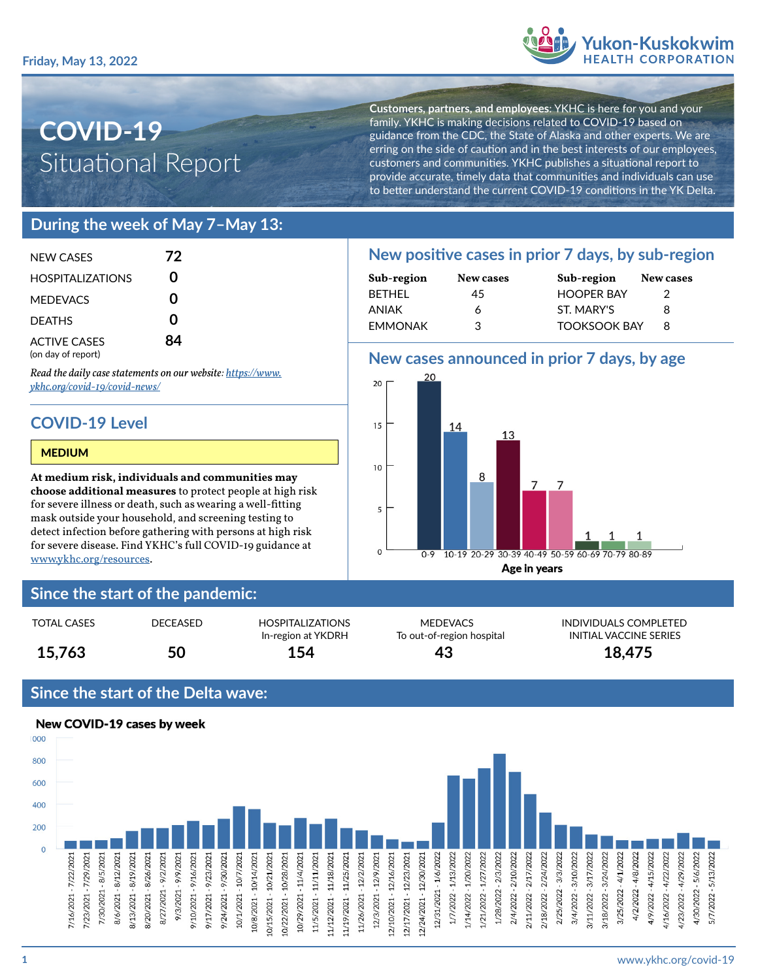

# **COVID-19** Situational Report

**Customers, partners, and employees**: YKHC is here for you and your family. YKHC is making decisions related to COVID-19 based on guidance from the CDC, the State of Alaska and other experts. We are erring on the side of caution and in the best interests of our employees, customers and communities. YKHC publishes a situational report to provide accurate, timely data that communities and individuals can use to better understand the current COVID-19 conditions in the YK Delta.

## **During the week of May 7–May 13:**

| NFW CASES                                 | 72 |
|-------------------------------------------|----|
| <b>HOSPITALIZATIONS</b>                   | U  |
| <b>MEDEVACS</b>                           | O  |
| <b>DEATHS</b>                             | ი  |
| <b>ACTIVE CASES</b><br>(on day of report) | 84 |

*Read the daily case statements on our website: [https://www.](https://www.ykhc.org/covid-19/covid-news/) [ykhc.org/covid-19/covid-news/](https://www.ykhc.org/covid-19/covid-news/)*

# **COVID-19 Level**

#### MEDIUM

**At medium risk, individuals and communities may choose additional measures** to protect people at high risk for severe illness or death, such as wearing a well-fitting mask outside your household, and screening testing to detect infection before gathering with persons at high risk for severe disease. Find YKHC's full COVID-19 guidance at [www.ykhc.org/resources](http://www.ykhc.org/resources).

## **Since the start of the pandemic:**

| <b>TOTAL CASES</b> | DECEASED | <b>HOSPITALIZATIONS</b><br>In-region at YKDRH | <b>MEDEVACS</b><br>To out-of-region hospital | <b>INDIVIDUALS COM</b><br>INITIAL VACCINE ! |
|--------------------|----------|-----------------------------------------------|----------------------------------------------|---------------------------------------------|
| 15,763             | 50       | 154                                           | 43                                           | 18,475                                      |

## **Since the start of the Delta wave:**



### **New positive cases in prior 7 days, by sub-region Sub-region New cases Sub-region New cases**

| $      -$ | .  | $0.001$ and $0.01$  |  |
|-----------|----|---------------------|--|
| BETHEL    | 45 | <b>HOOPER BAY</b>   |  |
| ANIAK     | 6  | ST. MARY'S          |  |
| EMMONAK   | З  | <b>TOOKSOOK BAY</b> |  |
|           |    |                     |  |

## **New cases announced in prior 7 days, by age**



MEDEVACS INDIVIDUALS COMPLETED To out-of-region hospital **INITIAL VACCINE SERIES**